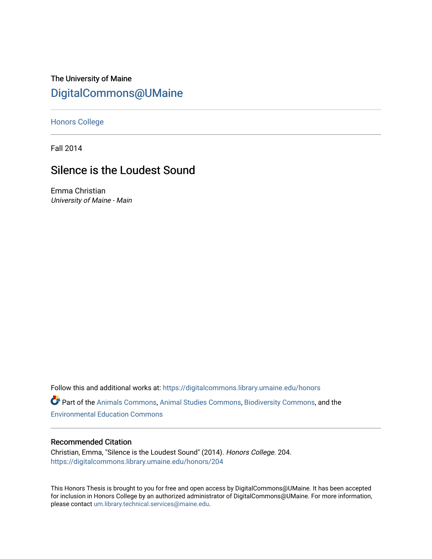The University of Maine [DigitalCommons@UMaine](https://digitalcommons.library.umaine.edu/)

[Honors College](https://digitalcommons.library.umaine.edu/honors)

Fall 2014

# Silence is the Loudest Sound

Emma Christian University of Maine - Main

Follow this and additional works at: [https://digitalcommons.library.umaine.edu/honors](https://digitalcommons.library.umaine.edu/honors?utm_source=digitalcommons.library.umaine.edu%2Fhonors%2F204&utm_medium=PDF&utm_campaign=PDFCoverPages) 

Part of the [Animals Commons](http://network.bepress.com/hgg/discipline/1006?utm_source=digitalcommons.library.umaine.edu%2Fhonors%2F204&utm_medium=PDF&utm_campaign=PDFCoverPages), [Animal Studies Commons,](http://network.bepress.com/hgg/discipline/1306?utm_source=digitalcommons.library.umaine.edu%2Fhonors%2F204&utm_medium=PDF&utm_campaign=PDFCoverPages) [Biodiversity Commons](http://network.bepress.com/hgg/discipline/1127?utm_source=digitalcommons.library.umaine.edu%2Fhonors%2F204&utm_medium=PDF&utm_campaign=PDFCoverPages), and the [Environmental Education Commons](http://network.bepress.com/hgg/discipline/1305?utm_source=digitalcommons.library.umaine.edu%2Fhonors%2F204&utm_medium=PDF&utm_campaign=PDFCoverPages) 

#### Recommended Citation

Christian, Emma, "Silence is the Loudest Sound" (2014). Honors College. 204. [https://digitalcommons.library.umaine.edu/honors/204](https://digitalcommons.library.umaine.edu/honors/204?utm_source=digitalcommons.library.umaine.edu%2Fhonors%2F204&utm_medium=PDF&utm_campaign=PDFCoverPages) 

This Honors Thesis is brought to you for free and open access by DigitalCommons@UMaine. It has been accepted for inclusion in Honors College by an authorized administrator of DigitalCommons@UMaine. For more information, please contact [um.library.technical.services@maine.edu.](mailto:um.library.technical.services@maine.edu)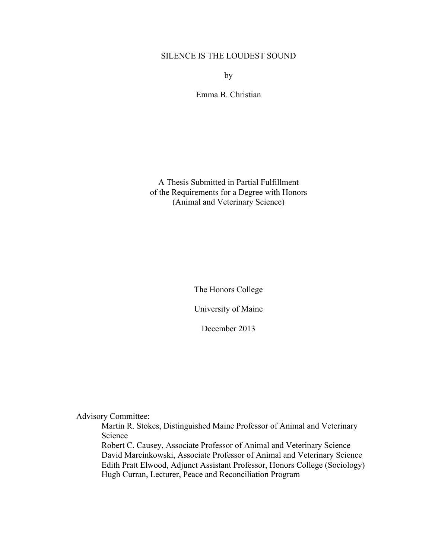# SILENCE IS THE LOUDEST SOUND

by

Emma B. Christian

A Thesis Submitted in Partial Fulfillment of the Requirements for a Degree with Honors (Animal and Veterinary Science)

The Honors College

University of Maine

December 2013

Advisory Committee:

Martin R. Stokes, Distinguished Maine Professor of Animal and Veterinary Science

Robert C. Causey, Associate Professor of Animal and Veterinary Science David Marcinkowski, Associate Professor of Animal and Veterinary Science Edith Pratt Elwood, Adjunct Assistant Professor, Honors College (Sociology) Hugh Curran, Lecturer, Peace and Reconciliation Program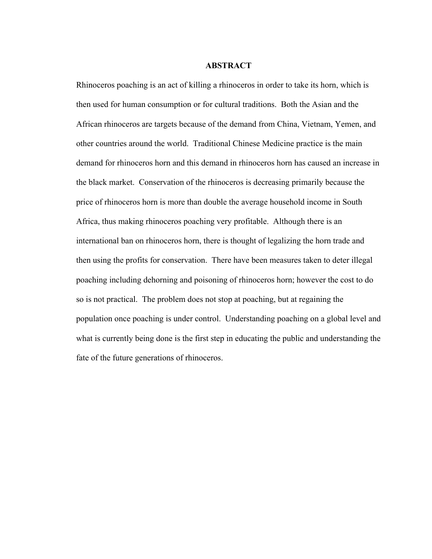#### **ABSTRACT**

Rhinoceros poaching is an act of killing a rhinoceros in order to take its horn, which is then used for human consumption or for cultural traditions. Both the Asian and the African rhinoceros are targets because of the demand from China, Vietnam, Yemen, and other countries around the world. Traditional Chinese Medicine practice is the main demand for rhinoceros horn and this demand in rhinoceros horn has caused an increase in the black market. Conservation of the rhinoceros is decreasing primarily because the price of rhinoceros horn is more than double the average household income in South Africa, thus making rhinoceros poaching very profitable. Although there is an international ban on rhinoceros horn, there is thought of legalizing the horn trade and then using the profits for conservation. There have been measures taken to deter illegal poaching including dehorning and poisoning of rhinoceros horn; however the cost to do so is not practical. The problem does not stop at poaching, but at regaining the population once poaching is under control. Understanding poaching on a global level and what is currently being done is the first step in educating the public and understanding the fate of the future generations of rhinoceros.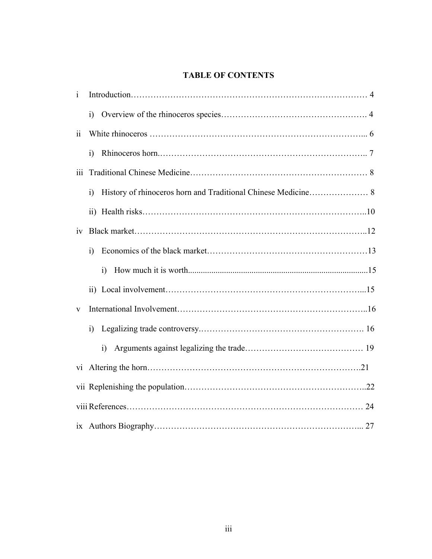# **TABLE OF CONTENTS**

| $\mathbf{i}$            |                |  |
|-------------------------|----------------|--|
|                         | $\ddot{1}$     |  |
| $\overline{\mathbf{i}}$ |                |  |
|                         | $\ddot{1}$     |  |
| iii.                    |                |  |
|                         | $\ddot{1}$     |  |
|                         |                |  |
| iv                      |                |  |
|                         | $\overline{1}$ |  |
|                         | $\ddot{1}$     |  |
|                         |                |  |
| V                       |                |  |
|                         | $\overline{1}$ |  |
|                         | $\ddot{1}$     |  |
| vi                      |                |  |
|                         |                |  |
|                         |                |  |
|                         |                |  |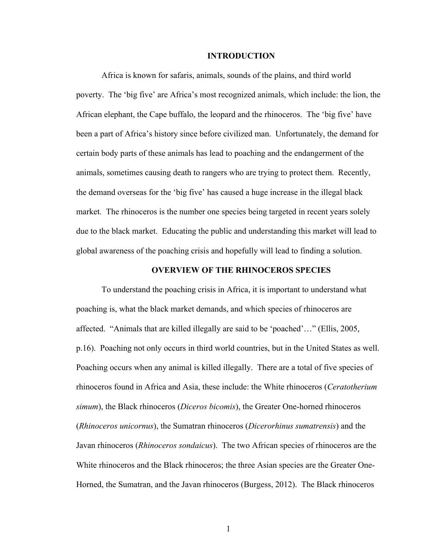#### **INTRODUCTION**

Africa is known for safaris, animals, sounds of the plains, and third world poverty. The 'big five' are Africa's most recognized animals, which include: the lion, the African elephant, the Cape buffalo, the leopard and the rhinoceros. The 'big five' have been a part of Africa's history since before civilized man. Unfortunately, the demand for certain body parts of these animals has lead to poaching and the endangerment of the animals, sometimes causing death to rangers who are trying to protect them. Recently, the demand overseas for the 'big five' has caused a huge increase in the illegal black market. The rhinoceros is the number one species being targeted in recent years solely due to the black market. Educating the public and understanding this market will lead to global awareness of the poaching crisis and hopefully will lead to finding a solution.

# **OVERVIEW OF THE RHINOCEROS SPECIES**

To understand the poaching crisis in Africa, it is important to understand what poaching is, what the black market demands, and which species of rhinoceros are affected. "Animals that are killed illegally are said to be 'poached'…" (Ellis, 2005, p.16). Poaching not only occurs in third world countries, but in the United States as well. Poaching occurs when any animal is killed illegally. There are a total of five species of rhinoceros found in Africa and Asia, these include: the White rhinoceros (*Ceratotherium simum*), the Black rhinoceros (*Diceros bicomis*), the Greater One-horned rhinoceros (*Rhinoceros unicornus*), the Sumatran rhinoceros (*Dicerorhinus sumatrensis*) and the Javan rhinoceros (*Rhinoceros sondaicus*). The two African species of rhinoceros are the White rhinoceros and the Black rhinoceros; the three Asian species are the Greater One-Horned, the Sumatran, and the Javan rhinoceros (Burgess, 2012). The Black rhinoceros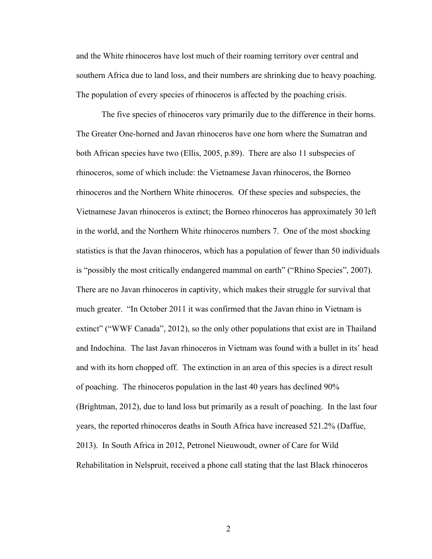and the White rhinoceros have lost much of their roaming territory over central and southern Africa due to land loss, and their numbers are shrinking due to heavy poaching. The population of every species of rhinoceros is affected by the poaching crisis.

The five species of rhinoceros vary primarily due to the difference in their horns. The Greater One-horned and Javan rhinoceros have one horn where the Sumatran and both African species have two (Ellis, 2005, p.89). There are also 11 subspecies of rhinoceros, some of which include: the Vietnamese Javan rhinoceros, the Borneo rhinoceros and the Northern White rhinoceros. Of these species and subspecies, the Vietnamese Javan rhinoceros is extinct; the Borneo rhinoceros has approximately 30 left in the world, and the Northern White rhinoceros numbers 7. One of the most shocking statistics is that the Javan rhinoceros, which has a population of fewer than 50 individuals is "possibly the most critically endangered mammal on earth" ("Rhino Species", 2007). There are no Javan rhinoceros in captivity, which makes their struggle for survival that much greater. "In October 2011 it was confirmed that the Javan rhino in Vietnam is extinct" ("WWF Canada", 2012), so the only other populations that exist are in Thailand and Indochina. The last Javan rhinoceros in Vietnam was found with a bullet in its' head and with its horn chopped off. The extinction in an area of this species is a direct result of poaching. The rhinoceros population in the last 40 years has declined 90% (Brightman, 2012), due to land loss but primarily as a result of poaching. In the last four years, the reported rhinoceros deaths in South Africa have increased 521.2% (Daffue, 2013). In South Africa in 2012, Petronel Nieuwoudt, owner of Care for Wild Rehabilitation in Nelspruit, received a phone call stating that the last Black rhinoceros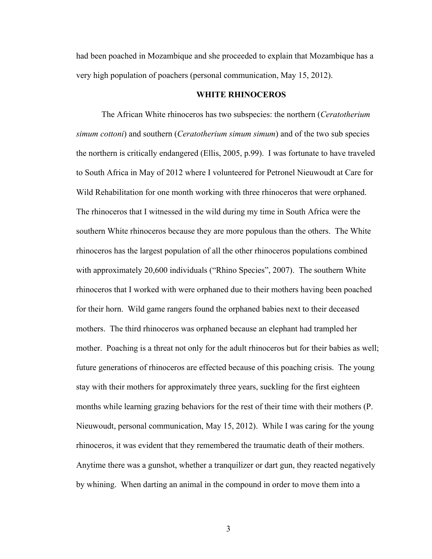had been poached in Mozambique and she proceeded to explain that Mozambique has a very high population of poachers (personal communication, May 15, 2012).

# **WHITE RHINOCEROS**

The African White rhinoceros has two subspecies: the northern (*Ceratotherium simum cottoni*) and southern (*Ceratotherium simum simum*) and of the two sub species the northern is critically endangered (Ellis, 2005, p.99). I was fortunate to have traveled to South Africa in May of 2012 where I volunteered for Petronel Nieuwoudt at Care for Wild Rehabilitation for one month working with three rhinoceros that were orphaned. The rhinoceros that I witnessed in the wild during my time in South Africa were the southern White rhinoceros because they are more populous than the others. The White rhinoceros has the largest population of all the other rhinoceros populations combined with approximately 20,600 individuals ("Rhino Species", 2007). The southern White rhinoceros that I worked with were orphaned due to their mothers having been poached for their horn. Wild game rangers found the orphaned babies next to their deceased mothers. The third rhinoceros was orphaned because an elephant had trampled her mother. Poaching is a threat not only for the adult rhinoceros but for their babies as well; future generations of rhinoceros are effected because of this poaching crisis. The young stay with their mothers for approximately three years, suckling for the first eighteen months while learning grazing behaviors for the rest of their time with their mothers (P. Nieuwoudt, personal communication, May 15, 2012). While I was caring for the young rhinoceros, it was evident that they remembered the traumatic death of their mothers. Anytime there was a gunshot, whether a tranquilizer or dart gun, they reacted negatively by whining. When darting an animal in the compound in order to move them into a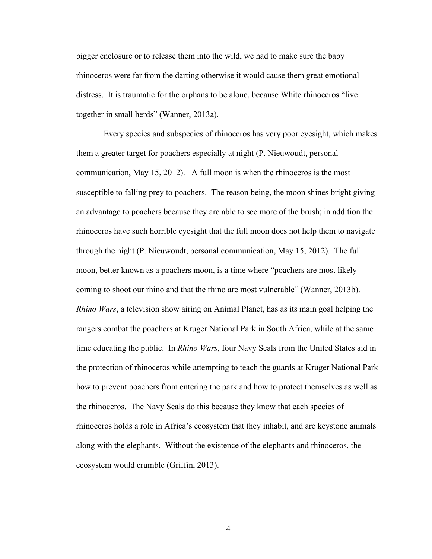bigger enclosure or to release them into the wild, we had to make sure the baby rhinoceros were far from the darting otherwise it would cause them great emotional distress. It is traumatic for the orphans to be alone, because White rhinoceros "live together in small herds" (Wanner, 2013a).

 Every species and subspecies of rhinoceros has very poor eyesight, which makes them a greater target for poachers especially at night (P. Nieuwoudt, personal communication, May 15, 2012). A full moon is when the rhinoceros is the most susceptible to falling prey to poachers. The reason being, the moon shines bright giving an advantage to poachers because they are able to see more of the brush; in addition the rhinoceros have such horrible eyesight that the full moon does not help them to navigate through the night (P. Nieuwoudt, personal communication, May 15, 2012). The full moon, better known as a poachers moon, is a time where "poachers are most likely coming to shoot our rhino and that the rhino are most vulnerable" (Wanner, 2013b). *Rhino Wars*, a television show airing on Animal Planet, has as its main goal helping the rangers combat the poachers at Kruger National Park in South Africa, while at the same time educating the public. In *Rhino Wars*, four Navy Seals from the United States aid in the protection of rhinoceros while attempting to teach the guards at Kruger National Park how to prevent poachers from entering the park and how to protect themselves as well as the rhinoceros. The Navy Seals do this because they know that each species of rhinoceros holds a role in Africa's ecosystem that they inhabit, and are keystone animals along with the elephants. Without the existence of the elephants and rhinoceros, the ecosystem would crumble (Griffin, 2013).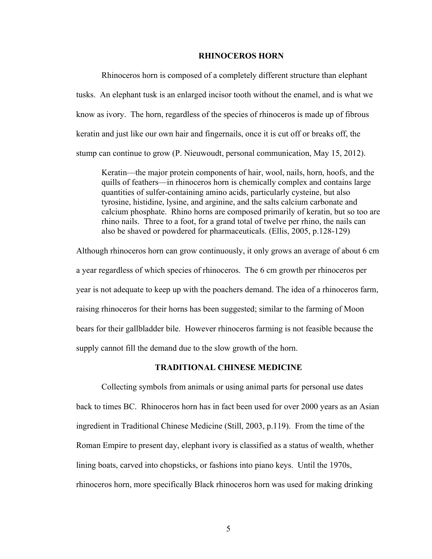#### **RHINOCEROS HORN**

Rhinoceros horn is composed of a completely different structure than elephant tusks. An elephant tusk is an enlarged incisor tooth without the enamel, and is what we know as ivory. The horn, regardless of the species of rhinoceros is made up of fibrous keratin and just like our own hair and fingernails, once it is cut off or breaks off, the stump can continue to grow (P. Nieuwoudt, personal communication, May 15, 2012).

Keratin—the major protein components of hair, wool, nails, horn, hoofs, and the quills of feathers—in rhinoceros horn is chemically complex and contains large quantities of sulfer-containing amino acids, particularly cysteine, but also tyrosine, histidine, lysine, and arginine, and the salts calcium carbonate and calcium phosphate. Rhino horns are composed primarily of keratin, but so too are rhino nails. Three to a foot, for a grand total of twelve per rhino, the nails can also be shaved or powdered for pharmaceuticals. (Ellis, 2005, p.128-129)

Although rhinoceros horn can grow continuously, it only grows an average of about 6 cm a year regardless of which species of rhinoceros. The 6 cm growth per rhinoceros per year is not adequate to keep up with the poachers demand. The idea of a rhinoceros farm, raising rhinoceros for their horns has been suggested; similar to the farming of Moon bears for their gallbladder bile. However rhinoceros farming is not feasible because the supply cannot fill the demand due to the slow growth of the horn.

## **TRADITIONAL CHINESE MEDICINE**

Collecting symbols from animals or using animal parts for personal use dates back to times BC. Rhinoceros horn has in fact been used for over 2000 years as an Asian ingredient in Traditional Chinese Medicine (Still, 2003, p.119). From the time of the Roman Empire to present day, elephant ivory is classified as a status of wealth, whether lining boats, carved into chopsticks, or fashions into piano keys. Until the 1970s, rhinoceros horn, more specifically Black rhinoceros horn was used for making drinking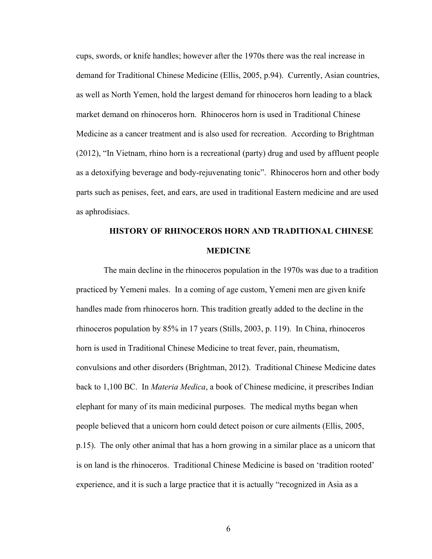cups, swords, or knife handles; however after the 1970s there was the real increase in demand for Traditional Chinese Medicine (Ellis, 2005, p.94). Currently, Asian countries, as well as North Yemen, hold the largest demand for rhinoceros horn leading to a black market demand on rhinoceros horn. Rhinoceros horn is used in Traditional Chinese Medicine as a cancer treatment and is also used for recreation. According to Brightman (2012), "In Vietnam, rhino horn is a recreational (party) drug and used by affluent people as a detoxifying beverage and body-rejuvenating tonic". Rhinoceros horn and other body parts such as penises, feet, and ears, are used in traditional Eastern medicine and are used as aphrodisiacs.

# **HISTORY OF RHINOCEROS HORN AND TRADITIONAL CHINESE MEDICINE**

 The main decline in the rhinoceros population in the 1970s was due to a tradition practiced by Yemeni males. In a coming of age custom, Yemeni men are given knife handles made from rhinoceros horn. This tradition greatly added to the decline in the rhinoceros population by 85% in 17 years (Stills, 2003, p. 119). In China, rhinoceros horn is used in Traditional Chinese Medicine to treat fever, pain, rheumatism, convulsions and other disorders (Brightman, 2012). Traditional Chinese Medicine dates back to 1,100 BC. In *Materia Medica*, a book of Chinese medicine, it prescribes Indian elephant for many of its main medicinal purposes. The medical myths began when people believed that a unicorn horn could detect poison or cure ailments (Ellis, 2005, p.15). The only other animal that has a horn growing in a similar place as a unicorn that is on land is the rhinoceros. Traditional Chinese Medicine is based on 'tradition rooted' experience, and it is such a large practice that it is actually "recognized in Asia as a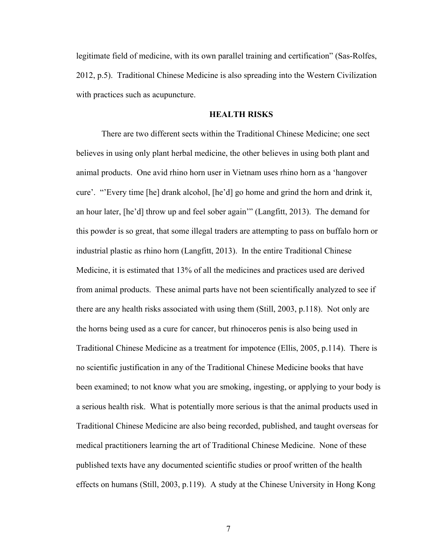legitimate field of medicine, with its own parallel training and certification" (Sas-Rolfes, 2012, p.5). Traditional Chinese Medicine is also spreading into the Western Civilization with practices such as acupuncture.

# **HEALTH RISKS**

There are two different sects within the Traditional Chinese Medicine; one sect believes in using only plant herbal medicine, the other believes in using both plant and animal products. One avid rhino horn user in Vietnam uses rhino horn as a 'hangover cure'. "'Every time [he] drank alcohol, [he'd] go home and grind the horn and drink it, an hour later, [he'd] throw up and feel sober again'" (Langfitt, 2013). The demand for this powder is so great, that some illegal traders are attempting to pass on buffalo horn or industrial plastic as rhino horn (Langfitt, 2013). In the entire Traditional Chinese Medicine, it is estimated that 13% of all the medicines and practices used are derived from animal products. These animal parts have not been scientifically analyzed to see if there are any health risks associated with using them (Still, 2003, p.118). Not only are the horns being used as a cure for cancer, but rhinoceros penis is also being used in Traditional Chinese Medicine as a treatment for impotence (Ellis, 2005, p.114). There is no scientific justification in any of the Traditional Chinese Medicine books that have been examined; to not know what you are smoking, ingesting, or applying to your body is a serious health risk. What is potentially more serious is that the animal products used in Traditional Chinese Medicine are also being recorded, published, and taught overseas for medical practitioners learning the art of Traditional Chinese Medicine. None of these published texts have any documented scientific studies or proof written of the health effects on humans (Still, 2003, p.119). A study at the Chinese University in Hong Kong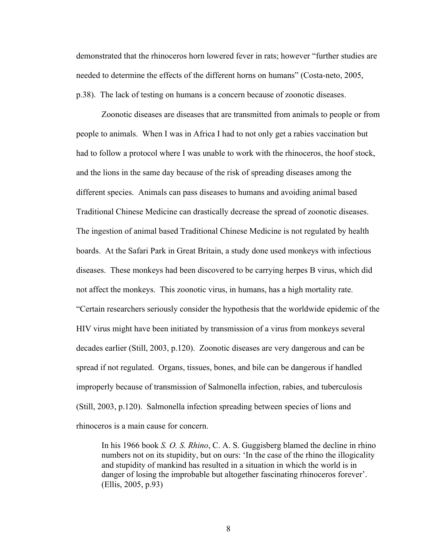demonstrated that the rhinoceros horn lowered fever in rats; however "further studies are needed to determine the effects of the different horns on humans" (Costa-neto, 2005, p.38). The lack of testing on humans is a concern because of zoonotic diseases.

Zoonotic diseases are diseases that are transmitted from animals to people or from people to animals. When I was in Africa I had to not only get a rabies vaccination but had to follow a protocol where I was unable to work with the rhinoceros, the hoof stock, and the lions in the same day because of the risk of spreading diseases among the different species. Animals can pass diseases to humans and avoiding animal based Traditional Chinese Medicine can drastically decrease the spread of zoonotic diseases. The ingestion of animal based Traditional Chinese Medicine is not regulated by health boards. At the Safari Park in Great Britain, a study done used monkeys with infectious diseases. These monkeys had been discovered to be carrying herpes B virus, which did not affect the monkeys. This zoonotic virus, in humans, has a high mortality rate. "Certain researchers seriously consider the hypothesis that the worldwide epidemic of the HIV virus might have been initiated by transmission of a virus from monkeys several decades earlier (Still, 2003, p.120). Zoonotic diseases are very dangerous and can be spread if not regulated. Organs, tissues, bones, and bile can be dangerous if handled improperly because of transmission of Salmonella infection, rabies, and tuberculosis (Still, 2003, p.120). Salmonella infection spreading between species of lions and rhinoceros is a main cause for concern.

In his 1966 book *S. O. S. Rhino*, C. A. S. Guggisberg blamed the decline in rhino numbers not on its stupidity, but on ours: 'In the case of the rhino the illogicality and stupidity of mankind has resulted in a situation in which the world is in danger of losing the improbable but altogether fascinating rhinoceros forever'. (Ellis, 2005, p.93)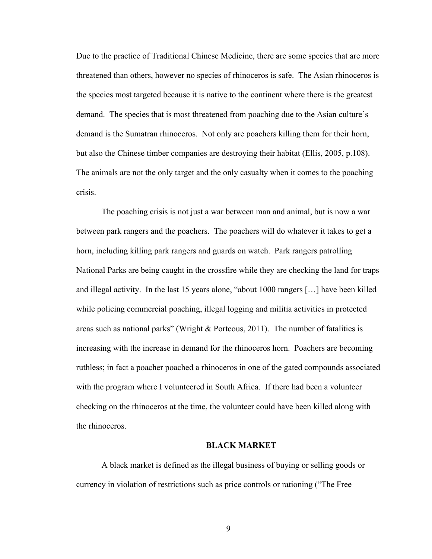Due to the practice of Traditional Chinese Medicine, there are some species that are more threatened than others, however no species of rhinoceros is safe. The Asian rhinoceros is the species most targeted because it is native to the continent where there is the greatest demand. The species that is most threatened from poaching due to the Asian culture's demand is the Sumatran rhinoceros. Not only are poachers killing them for their horn, but also the Chinese timber companies are destroying their habitat (Ellis, 2005, p.108). The animals are not the only target and the only casualty when it comes to the poaching crisis.

The poaching crisis is not just a war between man and animal, but is now a war between park rangers and the poachers. The poachers will do whatever it takes to get a horn, including killing park rangers and guards on watch. Park rangers patrolling National Parks are being caught in the crossfire while they are checking the land for traps and illegal activity. In the last 15 years alone, "about 1000 rangers […] have been killed while policing commercial poaching, illegal logging and militia activities in protected areas such as national parks" (Wright & Porteous, 2011). The number of fatalities is increasing with the increase in demand for the rhinoceros horn. Poachers are becoming ruthless; in fact a poacher poached a rhinoceros in one of the gated compounds associated with the program where I volunteered in South Africa. If there had been a volunteer checking on the rhinoceros at the time, the volunteer could have been killed along with the rhinoceros.

#### **BLACK MARKET**

A black market is defined as the illegal business of buying or selling goods or currency in violation of restrictions such as price controls or rationing ("The Free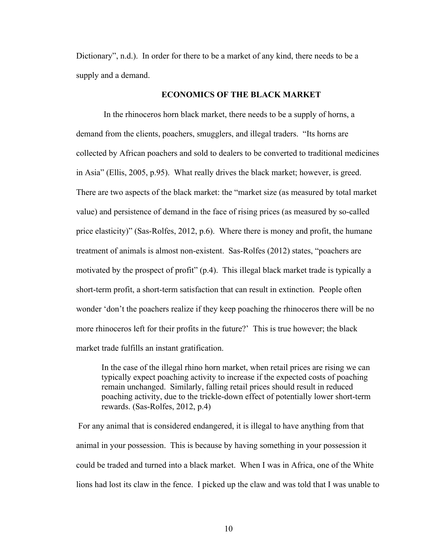Dictionary", n.d.). In order for there to be a market of any kind, there needs to be a supply and a demand.

# **ECONOMICS OF THE BLACK MARKET**

 In the rhinoceros horn black market, there needs to be a supply of horns, a demand from the clients, poachers, smugglers, and illegal traders. "Its horns are collected by African poachers and sold to dealers to be converted to traditional medicines in Asia" (Ellis, 2005, p.95). What really drives the black market; however, is greed. There are two aspects of the black market: the "market size (as measured by total market value) and persistence of demand in the face of rising prices (as measured by so-called price elasticity)" (Sas-Rolfes, 2012, p.6). Where there is money and profit, the humane treatment of animals is almost non-existent. Sas-Rolfes (2012) states, "poachers are motivated by the prospect of profit" (p.4). This illegal black market trade is typically a short-term profit, a short-term satisfaction that can result in extinction. People often wonder 'don't the poachers realize if they keep poaching the rhinoceros there will be no more rhinoceros left for their profits in the future?' This is true however; the black market trade fulfills an instant gratification.

In the case of the illegal rhino horn market, when retail prices are rising we can typically expect poaching activity to increase if the expected costs of poaching remain unchanged. Similarly, falling retail prices should result in reduced poaching activity, due to the trickle-down effect of potentially lower short-term rewards. (Sas-Rolfes, 2012, p.4)

 For any animal that is considered endangered, it is illegal to have anything from that animal in your possession. This is because by having something in your possession it could be traded and turned into a black market. When I was in Africa, one of the White lions had lost its claw in the fence. I picked up the claw and was told that I was unable to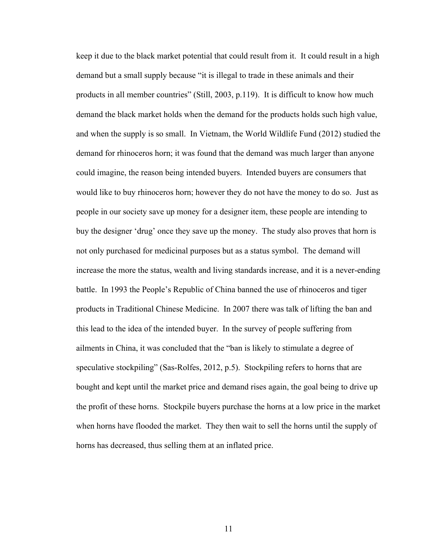keep it due to the black market potential that could result from it. It could result in a high demand but a small supply because "it is illegal to trade in these animals and their products in all member countries" (Still, 2003, p.119). It is difficult to know how much demand the black market holds when the demand for the products holds such high value, and when the supply is so small. In Vietnam, the World Wildlife Fund (2012) studied the demand for rhinoceros horn; it was found that the demand was much larger than anyone could imagine, the reason being intended buyers. Intended buyers are consumers that would like to buy rhinoceros horn; however they do not have the money to do so. Just as people in our society save up money for a designer item, these people are intending to buy the designer 'drug' once they save up the money. The study also proves that horn is not only purchased for medicinal purposes but as a status symbol. The demand will increase the more the status, wealth and living standards increase, and it is a never-ending battle. In 1993 the People's Republic of China banned the use of rhinoceros and tiger products in Traditional Chinese Medicine. In 2007 there was talk of lifting the ban and this lead to the idea of the intended buyer. In the survey of people suffering from ailments in China, it was concluded that the "ban is likely to stimulate a degree of speculative stockpiling" (Sas-Rolfes, 2012, p.5). Stockpiling refers to horns that are bought and kept until the market price and demand rises again, the goal being to drive up the profit of these horns. Stockpile buyers purchase the horns at a low price in the market when horns have flooded the market. They then wait to sell the horns until the supply of horns has decreased, thus selling them at an inflated price.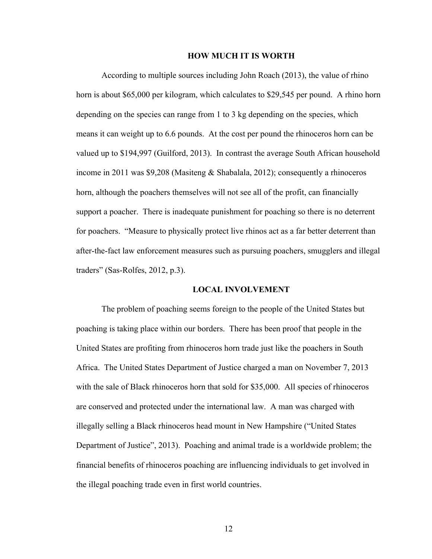#### **HOW MUCH IT IS WORTH**

According to multiple sources including John Roach (2013), the value of rhino horn is about \$65,000 per kilogram, which calculates to \$29,545 per pound. A rhino horn depending on the species can range from 1 to 3 kg depending on the species, which means it can weight up to 6.6 pounds. At the cost per pound the rhinoceros horn can be valued up to \$194,997 (Guilford, 2013). In contrast the average South African household income in 2011 was \$9,208 (Masiteng & Shabalala, 2012); consequently a rhinoceros horn, although the poachers themselves will not see all of the profit, can financially support a poacher. There is inadequate punishment for poaching so there is no deterrent for poachers. "Measure to physically protect live rhinos act as a far better deterrent than after-the-fact law enforcement measures such as pursuing poachers, smugglers and illegal traders" (Sas-Rolfes, 2012, p.3).

## **LOCAL INVOLVEMENT**

The problem of poaching seems foreign to the people of the United States but poaching is taking place within our borders. There has been proof that people in the United States are profiting from rhinoceros horn trade just like the poachers in South Africa. The United States Department of Justice charged a man on November 7, 2013 with the sale of Black rhinoceros horn that sold for \$35,000. All species of rhinoceros are conserved and protected under the international law. A man was charged with illegally selling a Black rhinoceros head mount in New Hampshire ("United States Department of Justice", 2013). Poaching and animal trade is a worldwide problem; the financial benefits of rhinoceros poaching are influencing individuals to get involved in the illegal poaching trade even in first world countries.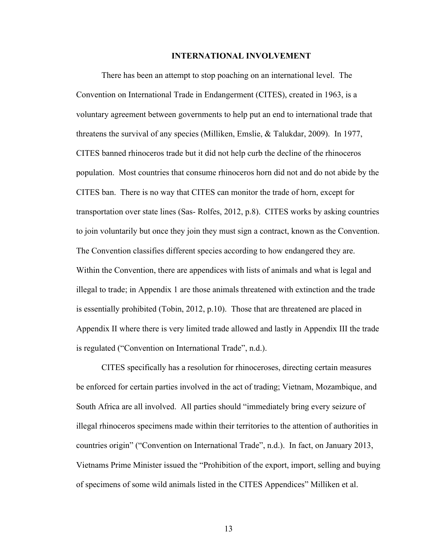#### **INTERNATIONAL INVOLVEMENT**

There has been an attempt to stop poaching on an international level. The Convention on International Trade in Endangerment (CITES), created in 1963, is a voluntary agreement between governments to help put an end to international trade that threatens the survival of any species (Milliken, Emslie, & Talukdar, 2009). In 1977, CITES banned rhinoceros trade but it did not help curb the decline of the rhinoceros population. Most countries that consume rhinoceros horn did not and do not abide by the CITES ban. There is no way that CITES can monitor the trade of horn, except for transportation over state lines (Sas- Rolfes, 2012, p.8). CITES works by asking countries to join voluntarily but once they join they must sign a contract, known as the Convention. The Convention classifies different species according to how endangered they are. Within the Convention, there are appendices with lists of animals and what is legal and illegal to trade; in Appendix 1 are those animals threatened with extinction and the trade is essentially prohibited (Tobin, 2012, p.10). Those that are threatened are placed in Appendix II where there is very limited trade allowed and lastly in Appendix III the trade is regulated ("Convention on International Trade", n.d.).

CITES specifically has a resolution for rhinoceroses, directing certain measures be enforced for certain parties involved in the act of trading; Vietnam, Mozambique, and South Africa are all involved. All parties should "immediately bring every seizure of illegal rhinoceros specimens made within their territories to the attention of authorities in countries origin" ("Convention on International Trade", n.d.). In fact, on January 2013, Vietnams Prime Minister issued the "Prohibition of the export, import, selling and buying of specimens of some wild animals listed in the CITES Appendices" Milliken et al.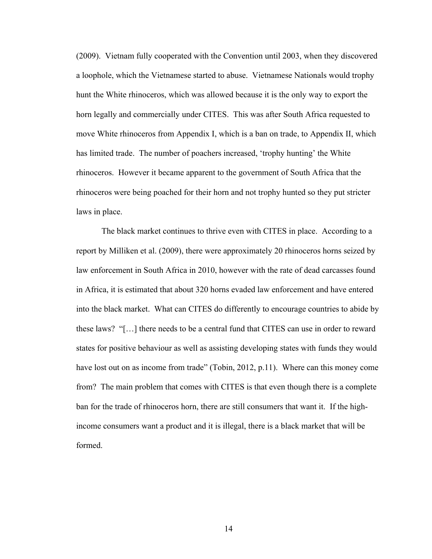(2009). Vietnam fully cooperated with the Convention until 2003, when they discovered a loophole, which the Vietnamese started to abuse. Vietnamese Nationals would trophy hunt the White rhinoceros, which was allowed because it is the only way to export the horn legally and commercially under CITES. This was after South Africa requested to move White rhinoceros from Appendix I, which is a ban on trade, to Appendix II, which has limited trade. The number of poachers increased, 'trophy hunting' the White rhinoceros. However it became apparent to the government of South Africa that the rhinoceros were being poached for their horn and not trophy hunted so they put stricter laws in place.

The black market continues to thrive even with CITES in place. According to a report by Milliken et al. (2009), there were approximately 20 rhinoceros horns seized by law enforcement in South Africa in 2010, however with the rate of dead carcasses found in Africa, it is estimated that about 320 horns evaded law enforcement and have entered into the black market. What can CITES do differently to encourage countries to abide by these laws? "[…] there needs to be a central fund that CITES can use in order to reward states for positive behaviour as well as assisting developing states with funds they would have lost out on as income from trade" (Tobin, 2012, p.11). Where can this money come from? The main problem that comes with CITES is that even though there is a complete ban for the trade of rhinoceros horn, there are still consumers that want it. If the highincome consumers want a product and it is illegal, there is a black market that will be formed.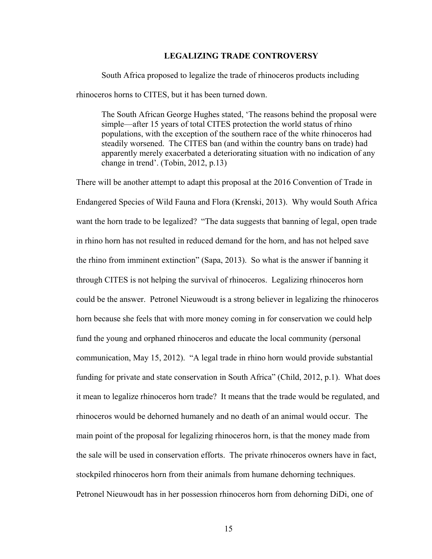# **LEGALIZING TRADE CONTROVERSY**

South Africa proposed to legalize the trade of rhinoceros products including rhinoceros horns to CITES, but it has been turned down.

The South African George Hughes stated, 'The reasons behind the proposal were simple—after 15 years of total CITES protection the world status of rhino populations, with the exception of the southern race of the white rhinoceros had steadily worsened. The CITES ban (and within the country bans on trade) had apparently merely exacerbated a deteriorating situation with no indication of any change in trend'. (Tobin, 2012, p.13)

There will be another attempt to adapt this proposal at the 2016 Convention of Trade in Endangered Species of Wild Fauna and Flora (Krenski, 2013). Why would South Africa want the horn trade to be legalized? "The data suggests that banning of legal, open trade in rhino horn has not resulted in reduced demand for the horn, and has not helped save the rhino from imminent extinction" (Sapa, 2013). So what is the answer if banning it through CITES is not helping the survival of rhinoceros. Legalizing rhinoceros horn could be the answer. Petronel Nieuwoudt is a strong believer in legalizing the rhinoceros horn because she feels that with more money coming in for conservation we could help fund the young and orphaned rhinoceros and educate the local community (personal communication, May 15, 2012). "A legal trade in rhino horn would provide substantial funding for private and state conservation in South Africa" (Child, 2012, p.1). What does it mean to legalize rhinoceros horn trade? It means that the trade would be regulated, and rhinoceros would be dehorned humanely and no death of an animal would occur. The main point of the proposal for legalizing rhinoceros horn, is that the money made from the sale will be used in conservation efforts. The private rhinoceros owners have in fact, stockpiled rhinoceros horn from their animals from humane dehorning techniques. Petronel Nieuwoudt has in her possession rhinoceros horn from dehorning DiDi, one of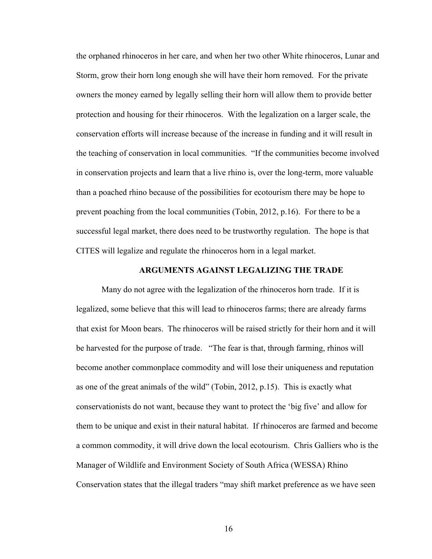the orphaned rhinoceros in her care, and when her two other White rhinoceros, Lunar and Storm, grow their horn long enough she will have their horn removed. For the private owners the money earned by legally selling their horn will allow them to provide better protection and housing for their rhinoceros. With the legalization on a larger scale, the conservation efforts will increase because of the increase in funding and it will result in the teaching of conservation in local communities. "If the communities become involved in conservation projects and learn that a live rhino is, over the long-term, more valuable than a poached rhino because of the possibilities for ecotourism there may be hope to prevent poaching from the local communities (Tobin, 2012, p.16). For there to be a successful legal market, there does need to be trustworthy regulation. The hope is that CITES will legalize and regulate the rhinoceros horn in a legal market.

#### **ARGUMENTS AGAINST LEGALIZING THE TRADE**

Many do not agree with the legalization of the rhinoceros horn trade. If it is legalized, some believe that this will lead to rhinoceros farms; there are already farms that exist for Moon bears. The rhinoceros will be raised strictly for their horn and it will be harvested for the purpose of trade. "The fear is that, through farming, rhinos will become another commonplace commodity and will lose their uniqueness and reputation as one of the great animals of the wild" (Tobin, 2012, p.15). This is exactly what conservationists do not want, because they want to protect the 'big five' and allow for them to be unique and exist in their natural habitat. If rhinoceros are farmed and become a common commodity, it will drive down the local ecotourism. Chris Galliers who is the Manager of Wildlife and Environment Society of South Africa (WESSA) Rhino Conservation states that the illegal traders "may shift market preference as we have seen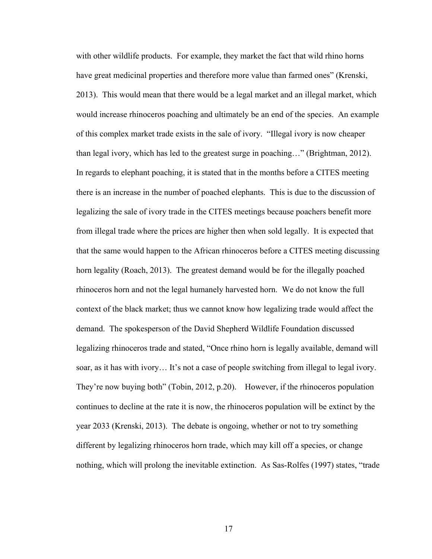with other wildlife products. For example, they market the fact that wild rhino horns have great medicinal properties and therefore more value than farmed ones" (Krenski, 2013). This would mean that there would be a legal market and an illegal market, which would increase rhinoceros poaching and ultimately be an end of the species. An example of this complex market trade exists in the sale of ivory. "Illegal ivory is now cheaper than legal ivory, which has led to the greatest surge in poaching…" (Brightman, 2012). In regards to elephant poaching, it is stated that in the months before a CITES meeting there is an increase in the number of poached elephants. This is due to the discussion of legalizing the sale of ivory trade in the CITES meetings because poachers benefit more from illegal trade where the prices are higher then when sold legally. It is expected that that the same would happen to the African rhinoceros before a CITES meeting discussing horn legality (Roach, 2013). The greatest demand would be for the illegally poached rhinoceros horn and not the legal humanely harvested horn. We do not know the full context of the black market; thus we cannot know how legalizing trade would affect the demand. The spokesperson of the David Shepherd Wildlife Foundation discussed legalizing rhinoceros trade and stated, "Once rhino horn is legally available, demand will soar, as it has with ivory… It's not a case of people switching from illegal to legal ivory. They're now buying both" (Tobin, 2012, p.20). However, if the rhinoceros population continues to decline at the rate it is now, the rhinoceros population will be extinct by the year 2033 (Krenski, 2013). The debate is ongoing, whether or not to try something different by legalizing rhinoceros horn trade, which may kill off a species, or change nothing, which will prolong the inevitable extinction. As Sas-Rolfes (1997) states, "trade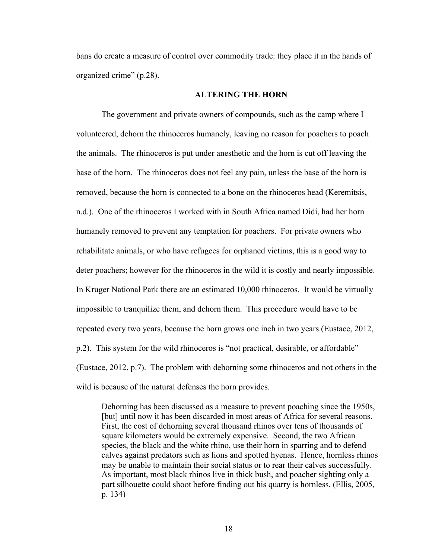bans do create a measure of control over commodity trade: they place it in the hands of organized crime" (p.28).

# **ALTERING THE HORN**

The government and private owners of compounds, such as the camp where I volunteered, dehorn the rhinoceros humanely, leaving no reason for poachers to poach the animals. The rhinoceros is put under anesthetic and the horn is cut off leaving the base of the horn. The rhinoceros does not feel any pain, unless the base of the horn is removed, because the horn is connected to a bone on the rhinoceros head (Keremitsis, n.d.). One of the rhinoceros I worked with in South Africa named Didi, had her horn humanely removed to prevent any temptation for poachers. For private owners who rehabilitate animals, or who have refugees for orphaned victims, this is a good way to deter poachers; however for the rhinoceros in the wild it is costly and nearly impossible. In Kruger National Park there are an estimated 10,000 rhinoceros. It would be virtually impossible to tranquilize them, and dehorn them. This procedure would have to be repeated every two years, because the horn grows one inch in two years (Eustace, 2012, p.2). This system for the wild rhinoceros is "not practical, desirable, or affordable" (Eustace, 2012, p.7). The problem with dehorning some rhinoceros and not others in the wild is because of the natural defenses the horn provides.

Dehorning has been discussed as a measure to prevent poaching since the 1950s, [but] until now it has been discarded in most areas of Africa for several reasons. First, the cost of dehorning several thousand rhinos over tens of thousands of square kilometers would be extremely expensive. Second, the two African species, the black and the white rhino, use their horn in sparring and to defend calves against predators such as lions and spotted hyenas. Hence, hornless rhinos may be unable to maintain their social status or to rear their calves successfully. As important, most black rhinos live in thick bush, and poacher sighting only a part silhouette could shoot before finding out his quarry is hornless. (Ellis, 2005, p. 134)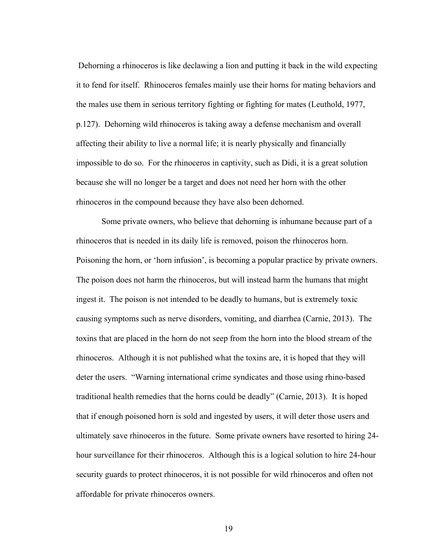Dehorning a rhinoceros is like declawing a lion and putting it back in the wild expecting it to fend for itself. Rhinoceros females mainly use their horns for mating behaviors and the males use them in serious territory fighting or fighting for mates (Leuthold, 1977, p.127). Dehorning wild rhinoceros is taking away a defense mechanism and overall affecting their ability to live a normal life; it is nearly physically and financially impossible to do so. For the rhinoceros in captivity, such as Didi, it is a great solution because she will no longer be a target and does not need her horn with the other rhinoceros in the compound because they have also been dehorned.

Some private owners, who believe that dehorning is inhumane because part of a rhinoceros that is needed in its daily life is removed, poison the rhinoceros horn. Poisoning the horn, or 'horn infusion', is becoming a popular practice by private owners. The poison does not harm the rhinoceros, but will instead harm the humans that might ingest it. The poison is not intended to be deadly to humans, but is extremely toxic causing symptoms such as nerve disorders, vomiting, and diarrhea (Carnie, 2013). The toxins that are placed in the horn do not seep from the horn into the blood stream of the rhinoceros. Although it is not published what the toxins are, it is hoped that they will deter the users. "Warning international crime syndicates and those using rhino-based traditional health remedies that the horns could be deadly" (Carnie, 2013). It is hoped that if enough poisoned horn is sold and ingested by users, it will deter those users and ultimately save rhinoceros in the future. Some private owners have resorted to hiring 24 hour surveillance for their rhinoceros. Although this is a logical solution to hire 24-hour security guards to protect rhinoceros, it is not possible for wild rhinoceros and often not affordable for private rhinoceros owners.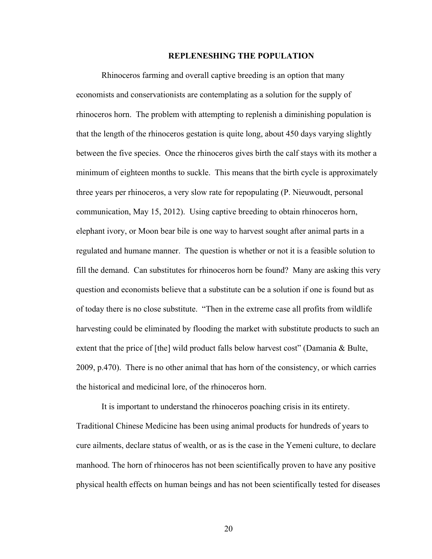#### **REPLENESHING THE POPULATION**

Rhinoceros farming and overall captive breeding is an option that many economists and conservationists are contemplating as a solution for the supply of rhinoceros horn. The problem with attempting to replenish a diminishing population is that the length of the rhinoceros gestation is quite long, about 450 days varying slightly between the five species. Once the rhinoceros gives birth the calf stays with its mother a minimum of eighteen months to suckle. This means that the birth cycle is approximately three years per rhinoceros, a very slow rate for repopulating (P. Nieuwoudt, personal communication, May 15, 2012). Using captive breeding to obtain rhinoceros horn, elephant ivory, or Moon bear bile is one way to harvest sought after animal parts in a regulated and humane manner. The question is whether or not it is a feasible solution to fill the demand. Can substitutes for rhinoceros horn be found? Many are asking this very question and economists believe that a substitute can be a solution if one is found but as of today there is no close substitute. "Then in the extreme case all profits from wildlife harvesting could be eliminated by flooding the market with substitute products to such an extent that the price of [the] wild product falls below harvest cost" (Damania & Bulte, 2009, p.470). There is no other animal that has horn of the consistency, or which carries the historical and medicinal lore, of the rhinoceros horn.

It is important to understand the rhinoceros poaching crisis in its entirety. Traditional Chinese Medicine has been using animal products for hundreds of years to cure ailments, declare status of wealth, or as is the case in the Yemeni culture, to declare manhood. The horn of rhinoceros has not been scientifically proven to have any positive physical health effects on human beings and has not been scientifically tested for diseases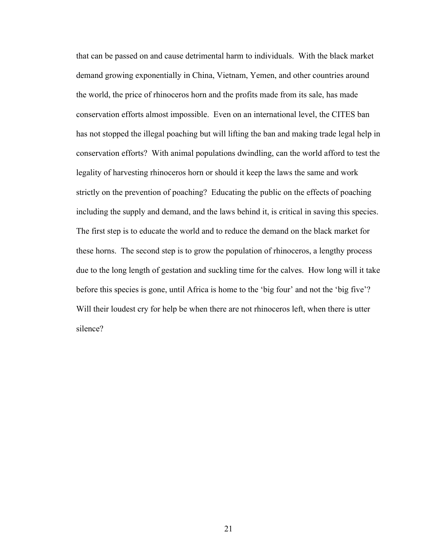that can be passed on and cause detrimental harm to individuals. With the black market demand growing exponentially in China, Vietnam, Yemen, and other countries around the world, the price of rhinoceros horn and the profits made from its sale, has made conservation efforts almost impossible. Even on an international level, the CITES ban has not stopped the illegal poaching but will lifting the ban and making trade legal help in conservation efforts? With animal populations dwindling, can the world afford to test the legality of harvesting rhinoceros horn or should it keep the laws the same and work strictly on the prevention of poaching? Educating the public on the effects of poaching including the supply and demand, and the laws behind it, is critical in saving this species. The first step is to educate the world and to reduce the demand on the black market for these horns. The second step is to grow the population of rhinoceros, a lengthy process due to the long length of gestation and suckling time for the calves. How long will it take before this species is gone, until Africa is home to the 'big four' and not the 'big five'? Will their loudest cry for help be when there are not rhinoceros left, when there is utter silence?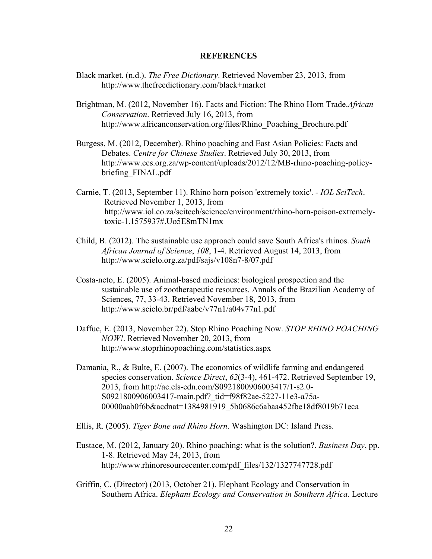## **REFERENCES**

- Black market. (n.d.). *The Free Dictionary*. Retrieved November 23, 2013, from http://www.thefreedictionary.com/black+market
- Brightman, M. (2012, November 16). Facts and Fiction: The Rhino Horn Trade.*African Conservation*. Retrieved July 16, 2013, from http://www.africanconservation.org/files/Rhino\_Poaching\_Brochure.pdf
- Burgess, M. (2012, December). Rhino poaching and East Asian Policies: Facts and Debates. *Centre for Chinese Studies*. Retrieved July 30, 2013, from http://www.ccs.org.za/wp-content/uploads/2012/12/MB-rhino-poaching-policybriefing\_FINAL.pdf
- Carnie, T. (2013, September 11). Rhino horn poison 'extremely toxic'.  *IOL SciTech*. Retrieved November 1, 2013, from http://www.iol.co.za/scitech/science/environment/rhino-horn-poison-extremelytoxic-1.1575937#.Uo5E8mTN1mx
- Child, B. (2012). The sustainable use approach could save South Africa's rhinos. *South African Journal of Science*, *108*, 1-4. Retrieved August 14, 2013, from http://www.scielo.org.za/pdf/sajs/v108n7-8/07.pdf
- Costa-neto, E. (2005). Animal-based medicines: biological prospection and the sustainable use of zootherapeutic resources. Annals of the Brazilian Academy of Sciences, 77, 33-43. Retrieved November 18, 2013, from http://www.scielo.br/pdf/aabc/v77n1/a04v77n1.pdf
- Daffue, E. (2013, November 22). Stop Rhino Poaching Now. *STOP RHINO POACHING NOW!*. Retrieved November 20, 2013, from http://www.stoprhinopoaching.com/statistics.aspx
- Damania, R., & Bulte, E. (2007). The economics of wildlife farming and endangered species conservation. *Science Direct*, *62*(3-4), 461-472. Retrieved September 19, 2013, from http://ac.els-cdn.com/S0921800906003417/1-s2.0- S0921800906003417-main.pdf? tid=f98f82ae-5227-11e3-a75a-00000aab0f6b&acdnat=1384981919\_5b0686c6abaa452fbe18df8019b71eca
- Ellis, R. (2005). *Tiger Bone and Rhino Horn*. Washington DC: Island Press.
- Eustace, M. (2012, January 20). Rhino poaching: what is the solution?. *Business Day*, pp. 1-8. Retrieved May 24, 2013, from http://www.rhinoresourcecenter.com/pdf\_files/132/1327747728.pdf
- Griffin, C. (Director) (2013, October 21). Elephant Ecology and Conservation in Southern Africa. *Elephant Ecology and Conservation in Southern Africa*. Lecture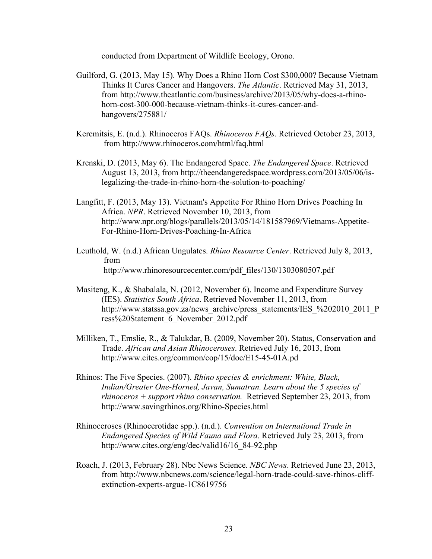conducted from Department of Wildlife Ecology, Orono.

- Guilford, G. (2013, May 15). Why Does a Rhino Horn Cost \$300,000? Because Vietnam Thinks It Cures Cancer and Hangovers. *The Atlantic*. Retrieved May 31, 2013, from http://www.theatlantic.com/business/archive/2013/05/why-does-a-rhinohorn-cost-300-000-because-vietnam-thinks-it-cures-cancer-andhangovers/275881/
- Keremitsis, E. (n.d.). Rhinoceros FAQs. *Rhinoceros FAQs*. Retrieved October 23, 2013, from http://www.rhinoceros.com/html/faq.html
- Krenski, D. (2013, May 6). The Endangered Space. *The Endangered Space*. Retrieved August 13, 2013, from http://theendangeredspace.wordpress.com/2013/05/06/islegalizing-the-trade-in-rhino-horn-the-solution-to-poaching/
- Langfitt, F. (2013, May 13). Vietnam's Appetite For Rhino Horn Drives Poaching In Africa. *NPR*. Retrieved November 10, 2013, from http://www.npr.org/blogs/parallels/2013/05/14/181587969/Vietnams-Appetite-For-Rhino-Horn-Drives-Poaching-In-Africa
- Leuthold, W. (n.d.) African Ungulates. *Rhino Resource Center*. Retrieved July 8, 2013, from http://www.rhinoresourcecenter.com/pdf\_files/130/1303080507.pdf
- Masiteng, K., & Shabalala, N. (2012, November 6). Income and Expenditure Survey (IES). *Statistics South Africa*. Retrieved November 11, 2013, from http://www.statssa.gov.za/news\_archive/press\_statements/IES\_%202010\_2011\_P ress%20Statement\_6\_November\_2012.pdf
- Milliken, T., Emslie, R., & Talukdar, B. (2009, November 20). Status, Conservation and Trade. *African and Asian Rhinoceroses*. Retrieved July 16, 2013, from http://www.cites.org/common/cop/15/doc/E15-45-01A.pd
- Rhinos: The Five Species. (2007). *Rhino species & enrichment: White, Black, Indian/Greater One-Horned, Javan, Sumatran. Learn about the 5 species of rhinoceros + support rhino conservation.* Retrieved September 23, 2013, from http://www.savingrhinos.org/Rhino-Species.html
- Rhinoceroses (Rhinocerotidae spp.). (n.d.). *Convention on International Trade in Endangered Species of Wild Fauna and Flora*. Retrieved July 23, 2013, from http://www.cites.org/eng/dec/valid16/16\_84-92.php
- Roach, J. (2013, February 28). Nbc News Science. *NBC News*. Retrieved June 23, 2013, from http://www.nbcnews.com/science/legal-horn-trade-could-save-rhinos-cliff extinction-experts-argue-1C8619756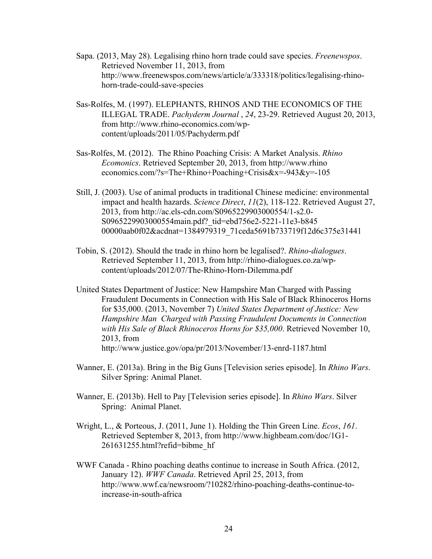- Sapa. (2013, May 28). Legalising rhino horn trade could save species. *Freenewspos*. Retrieved November 11, 2013, from http://www.freenewspos.com/news/article/a/333318/politics/legalising-rhinohorn-trade-could-save-species
- Sas-Rolfes, M. (1997). ELEPHANTS, RHINOS AND THE ECONOMICS OF THE ILLEGAL TRADE. *Pachyderm Journal* , *24*, 23-29. Retrieved August 20, 2013, from http://www.rhino-economics.com/wp content/uploads/2011/05/Pachyderm.pdf
- Sas-Rolfes, M. (2012). The Rhino Poaching Crisis: A Market Analysis. *Rhino Ecomonics*. Retrieved September 20, 2013, from http://www.rhino economics.com/?s=The+Rhino+Poaching+Crisis&x=-943&y=-105
- Still, J. (2003). Use of animal products in traditional Chinese medicine: environmental impact and health hazards. *Science Direct*, *11*(2), 118-122. Retrieved August 27, 2013, from http://ac.els-cdn.com/S0965229903000554/1-s2.0- S0965229903000554main.pdf? tid=ebd756e2-5221-11e3-b845 00000aab0f02&acdnat=1384979319\_71ceda5691b733719f12d6c375e31441
- Tobin, S. (2012). Should the trade in rhino horn be legalised?. *Rhino-dialogues*. Retrieved September 11, 2013, from http://rhino-dialogues.co.za/wpcontent/uploads/2012/07/The-Rhino-Horn-Dilemma.pdf
- United States Department of Justice: New Hampshire Man Charged with Passing Fraudulent Documents in Connection with His Sale of Black Rhinoceros Horns for \$35,000. (2013, November 7) *United States Department of Justice: New Hampshire Man Charged with Passing Fraudulent Documents in Connection with His Sale of Black Rhinoceros Horns for \$35,000*. Retrieved November 10, 2013, from http://www.justice.gov/opa/pr/2013/November/13-enrd-1187.html
- Wanner, E. (2013a). Bring in the Big Guns [Television series episode]. In *Rhino Wars*. Silver Spring: Animal Planet.
- Wanner, E. (2013b). Hell to Pay [Television series episode]. In *Rhino Wars*. Silver Spring: Animal Planet.
- Wright, L., & Porteous, J. (2011, June 1). Holding the Thin Green Line. *Ecos*, *161*. Retrieved September 8, 2013, from http://www.highbeam.com/doc/1G1- 261631255.html?refid=bibme\_hf
- WWF Canada Rhino poaching deaths continue to increase in South Africa. (2012, January 12). *WWF Canada*. Retrieved April 25, 2013, from http://www.wwf.ca/newsroom/?10282/rhino-poaching-deaths-continue-toincrease-in-south-africa